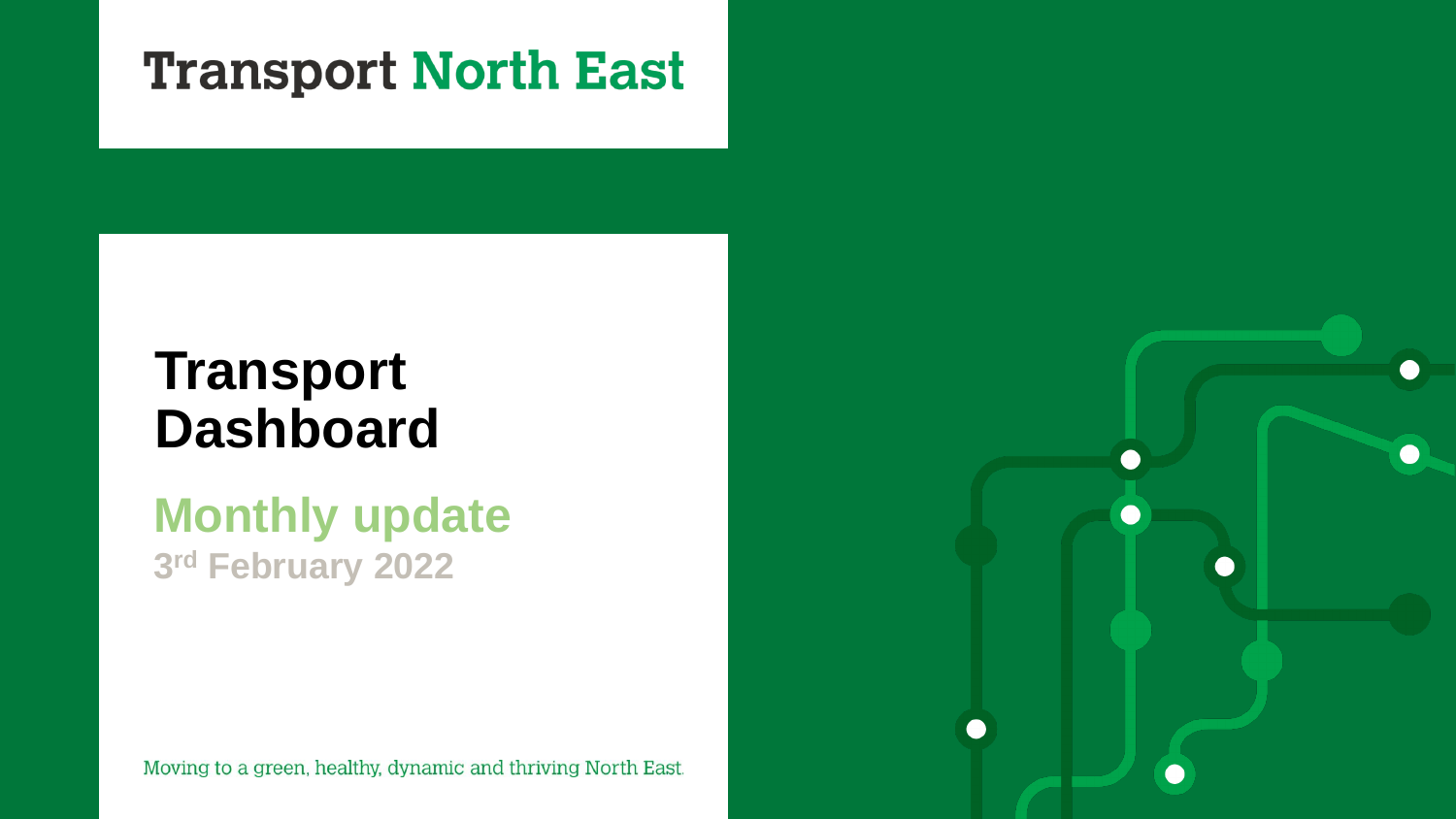# **Transport North East**

# **Transport Dashboard**

# **Monthly update 3 rd February 2022**

Moving to a green, healthy, dynamic and thriving North East.

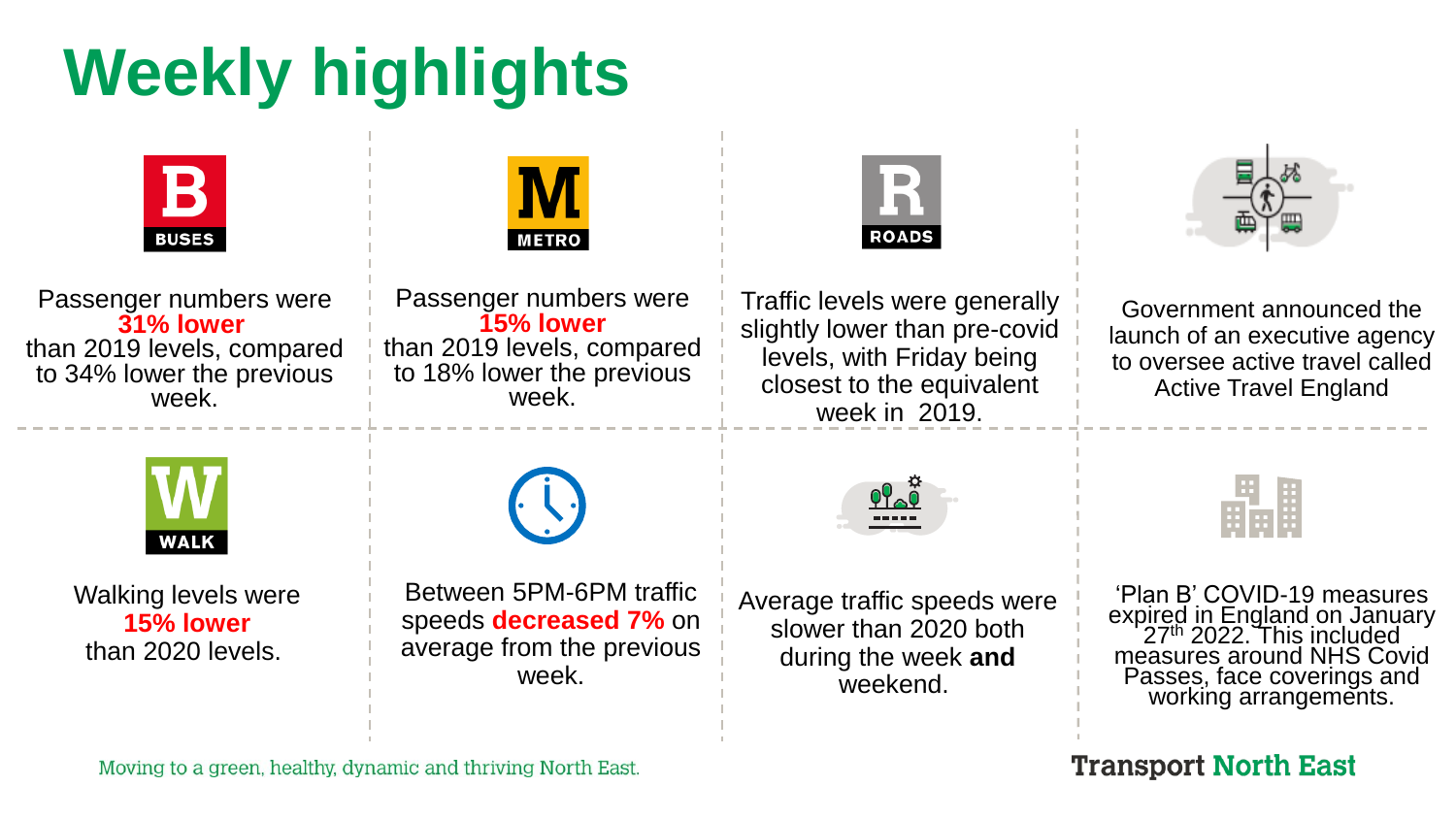# **Weekly highlights**

| $\mathbf B$<br><b>BUSES</b>                                                                             | M<br><b>METRO</b>                                                                                       | R<br><b>ROADS</b>                                                                                                                         |                                                                                                                                                                                         |
|---------------------------------------------------------------------------------------------------------|---------------------------------------------------------------------------------------------------------|-------------------------------------------------------------------------------------------------------------------------------------------|-----------------------------------------------------------------------------------------------------------------------------------------------------------------------------------------|
| Passenger numbers were<br>31% lower<br>than 2019 levels, compared<br>to 34% lower the previous<br>week. | Passenger numbers were<br>15% lower<br>than 2019 levels, compared<br>to 18% lower the previous<br>week. | Traffic levels were generally<br>slightly lower than pre-covid<br>levels, with Friday being<br>closest to the equivalent<br>week in 2019. | Government announced the<br>launch of an executive agency<br>to oversee active travel called<br><b>Active Travel England</b>                                                            |
| <b>WALK</b>                                                                                             |                                                                                                         | $\underbrace{00}_{1111}$                                                                                                                  |                                                                                                                                                                                         |
| <b>Walking levels were</b><br>15% lower<br>than 2020 levels.                                            | Between 5PM-6PM traffic<br>speeds <b>decreased 7%</b> on<br>average from the previous<br>week.          | Average traffic speeds were<br>slower than 2020 both<br>during the week and<br>weekend.                                                   | 'Plan B' COVID-19 measures<br>expired in England on January<br>27 <sup>th</sup> 2022. This included<br>measures around NHS Covid<br>Passes, face coverings and<br>working arrangements. |
|                                                                                                         |                                                                                                         |                                                                                                                                           |                                                                                                                                                                                         |

Moving to a green, healthy, dynamic and thriving North East.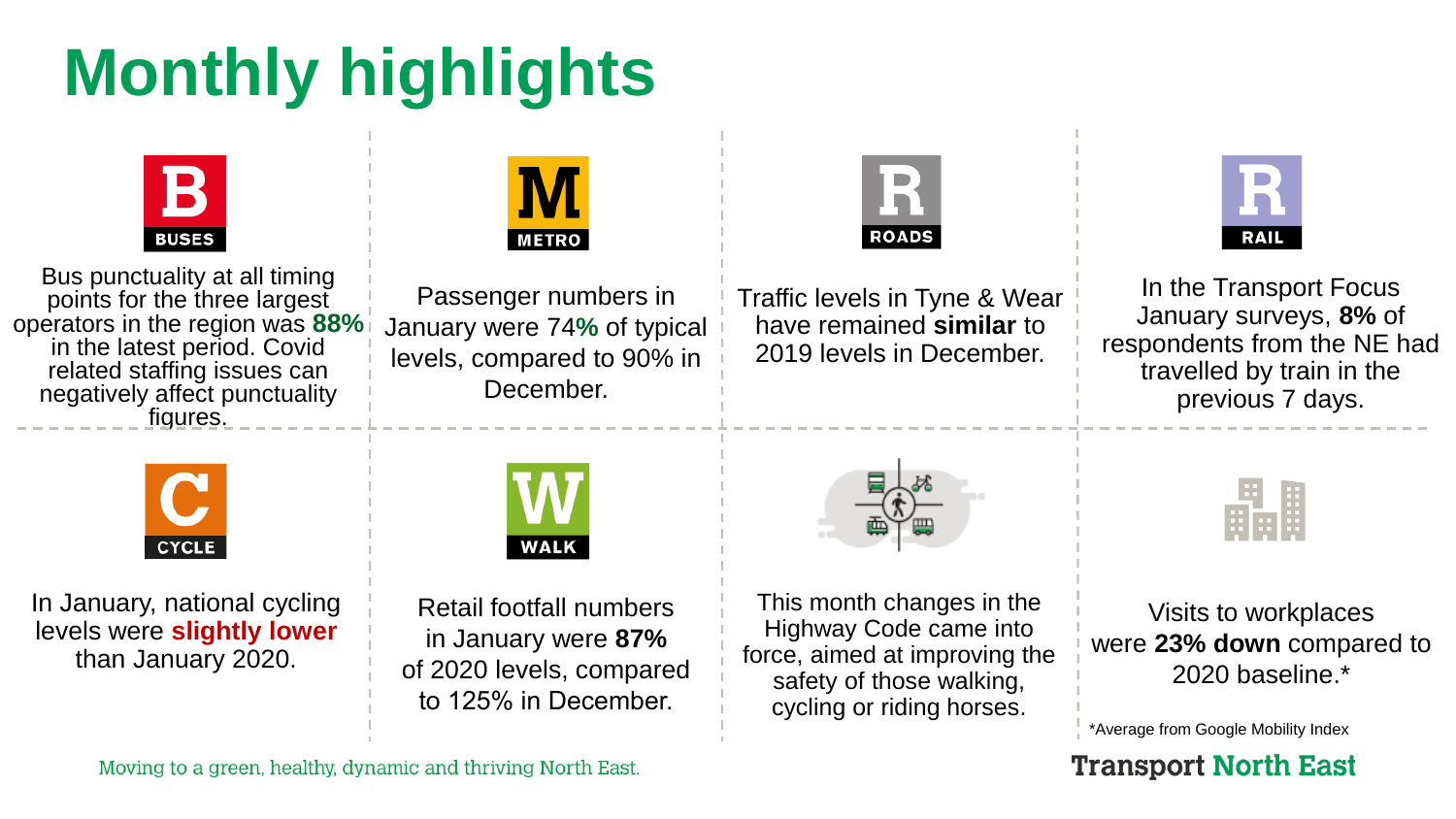# **Monthly highlights**



Moving to a green, healthy, dynamic and thriving North East.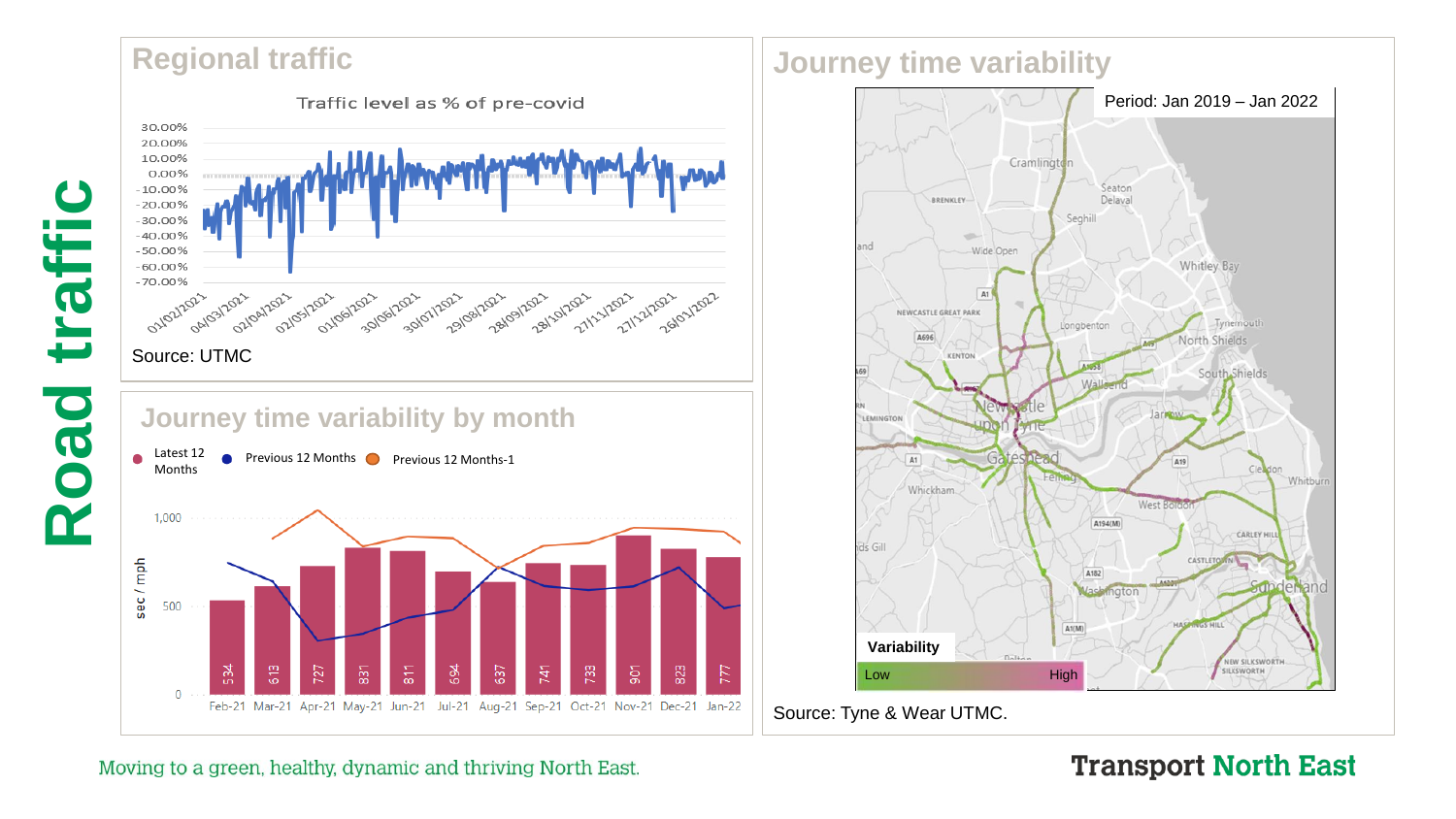## **Regional traffic**





# **Journey time variability**



Moving to a green, healthy, dynamic and thriving North East.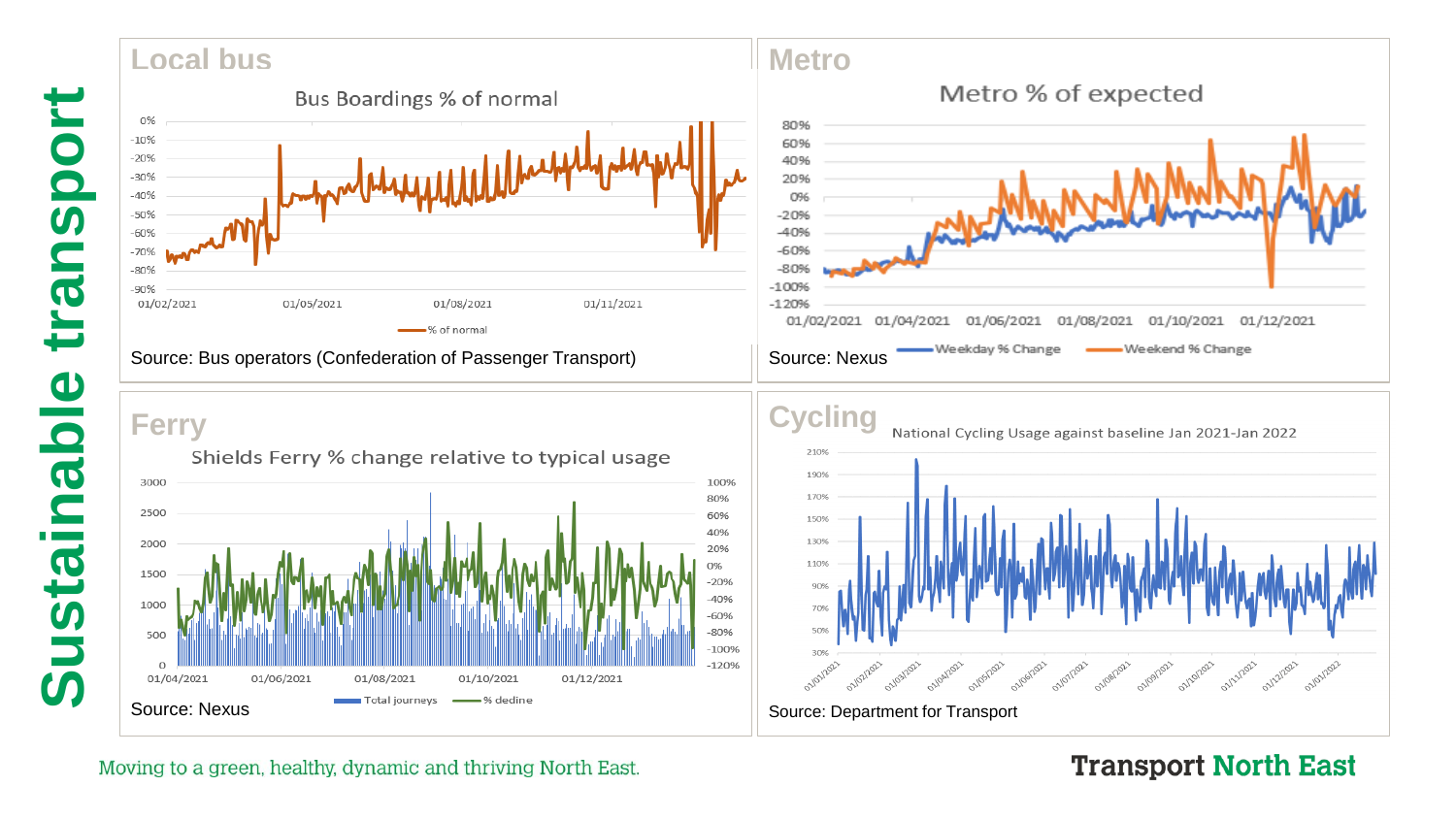#### **Metro Local bus** Metro % of expected Bus Boardings % of normal 0% 80%  $-10%$ 60%  $-20%$ 40%  $-30%$ 20%  $-40%$ 0%  $-50%$  $-20%$  $-60%$  $-40%$  $-60%$  $-70%$  $-80%$  $-80%$  $-100%$  $-90%$ 01/02/2021 01/05/2021 01/08/2021 01/11/2021  $-120%$ 01/02/2021 01/04/2021 01/06/2021 01/08/2021 01/10/2021 01/12/2021 % of normal Weekend % Change Weekday % Change \ Source: Bus operators (Confederation of Passenger Transport) Source: Nexus

# **Ferry**





#### Moving to a green, healthy, dynamic and thriving North East.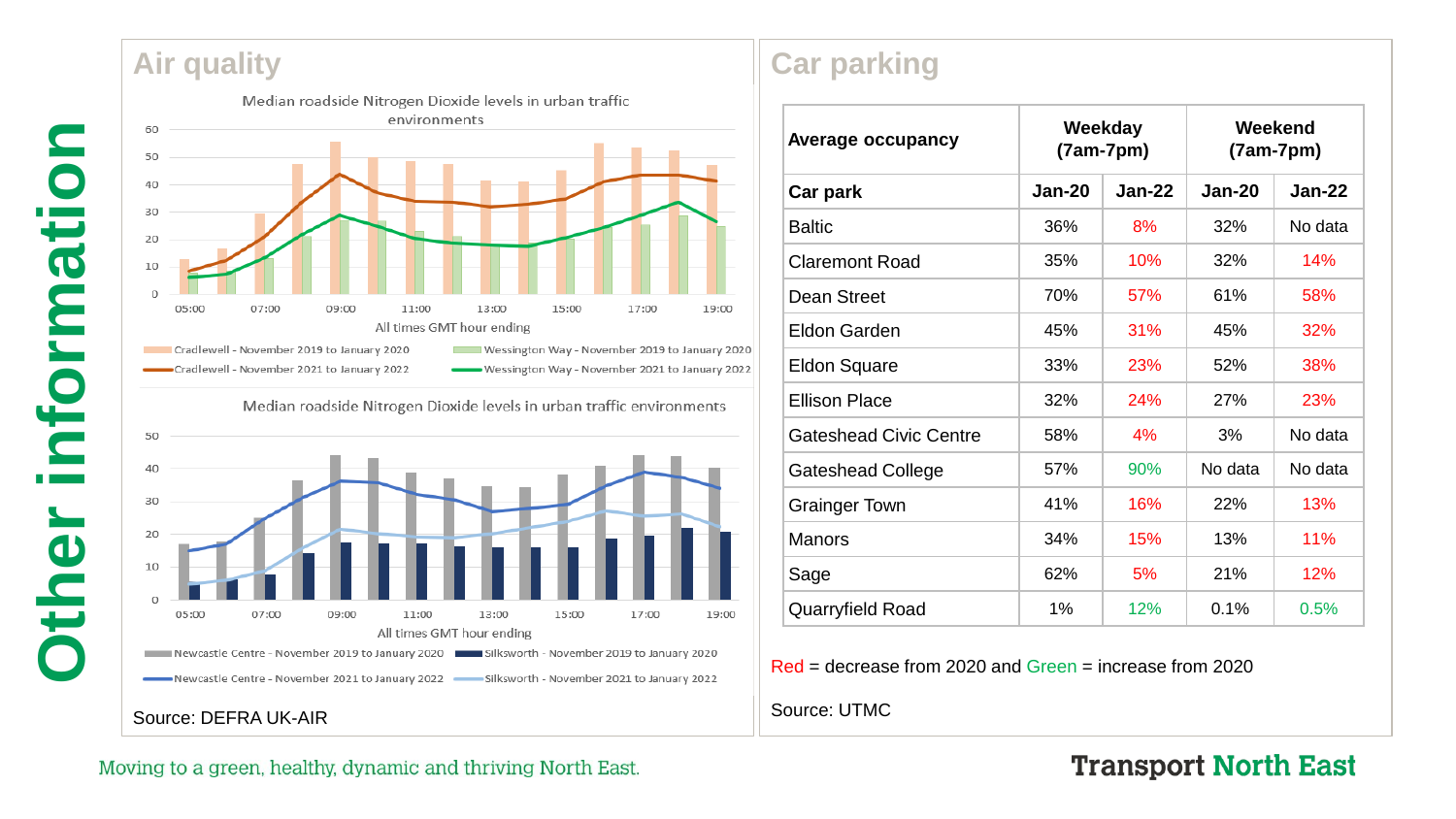## **Air quality**





Median roadside Nitrogen Dioxide levels in urban traffic environments

Wessington Way - November 2021 to January 2022



Source: DEFRA UK -AIR

-Cradlewell - November 2021 to January 2022

# **Car parking**

| <b>Average occupancy</b>      | Weekday<br>$(7am-7pm)$ |          | Weekend<br>$(7am-7pm)$ |          |
|-------------------------------|------------------------|----------|------------------------|----------|
| Car park                      | <b>Jan-20</b>          | $Jan-22$ | <b>Jan-20</b>          | $Jan-22$ |
| <b>Baltic</b>                 | 36%                    | 8%       | 32%                    | No data  |
| <b>Claremont Road</b>         | 35%                    | 10%      | 32%                    | 14%      |
| Dean Street                   | 70%                    | 57%      | 61%                    | 58%      |
| Eldon Garden                  | 45%                    | 31%      | 45%                    | 32%      |
| <b>Eldon Square</b>           | 33%                    | 23%      | 52%                    | 38%      |
| <b>Ellison Place</b>          | 32%                    | 24%      | 27%                    | 23%      |
| <b>Gateshead Civic Centre</b> | 58%                    | 4%       | 3%                     | No data  |
| <b>Gateshead College</b>      | 57%                    | 90%      | No data                | No data  |
| <b>Grainger Town</b>          | 41%                    | 16%      | 22%                    | 13%      |
| <b>Manors</b>                 | 34%                    | 15%      | 13%                    | 11%      |
| Sage                          | 62%                    | 5%       | 21%                    | 12%      |
| <b>Quarryfield Road</b>       | 1%                     | 12%      | 0.1%                   | 0.5%     |

Red = decrease from 2020 and Green = increase from 2020

Source: UTMC

#### Moving to a green, healthy, dynamic and thriving North East.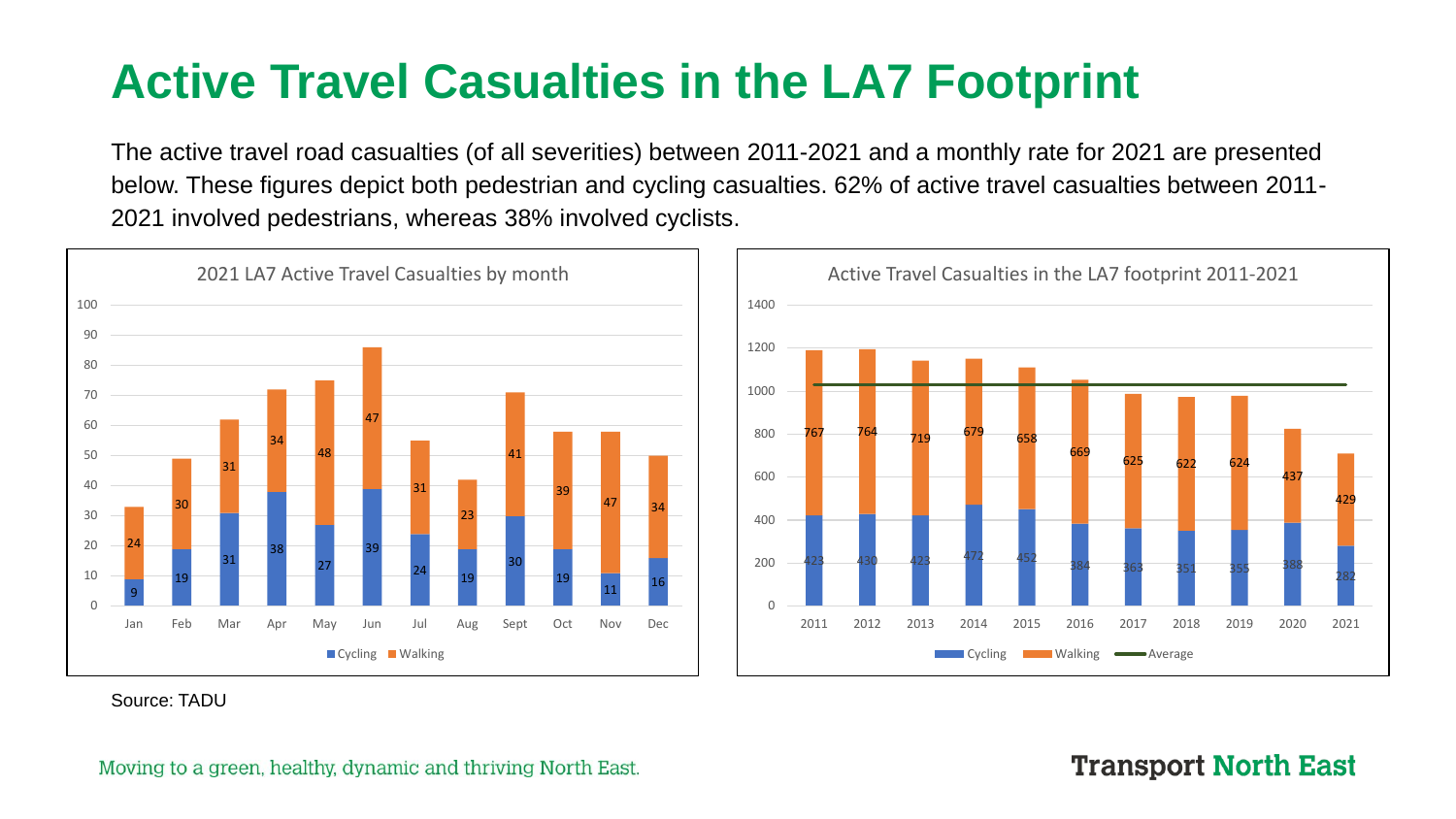# **Active Travel Casualties in the LA7 Footprint**

The active travel road casualties (of all severities) between 2011-2021 and a monthly rate for 2021 are presented below. These figures depict both pedestrian and cycling casualties. 62% of active travel casualties between 2011- 2021 involved pedestrians, whereas 38% involved cyclists.





Source: TADU

#### Moving to a green, healthy, dynamic and thriving North East.